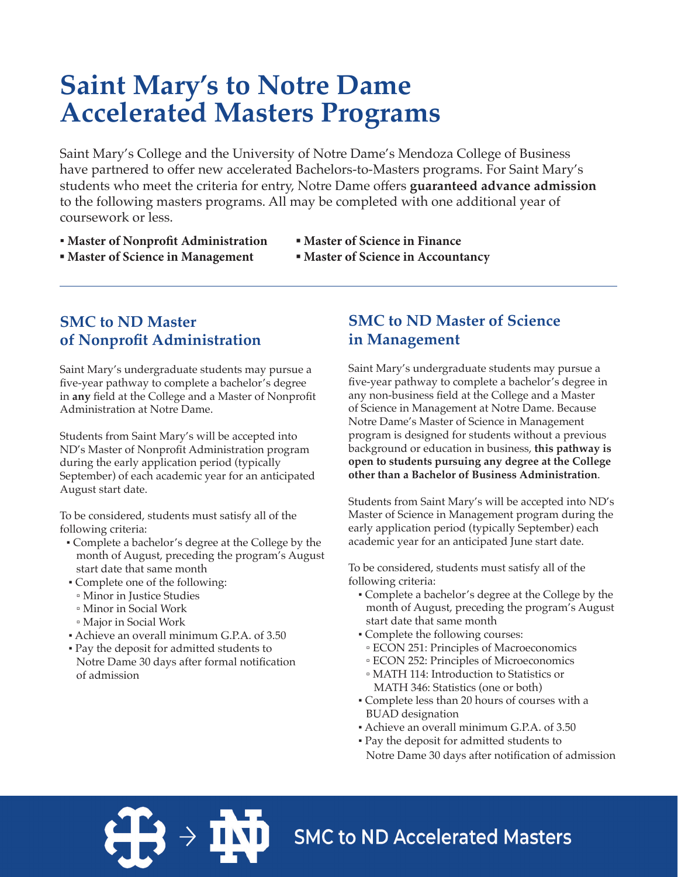# **Saint Mary's to Notre Dame Accelerated Masters Programs**

Saint Mary's College and the University of Notre Dame's Mendoza College of Business have partnered to offer new accelerated Bachelors-to-Masters programs. For Saint Mary's students who meet the criteria for entry, Notre Dame offers **guaranteed advance admission** to the following masters programs. All may be completed with one additional year of coursework or less.

- **Master of Nonprofit Administration**
- **▪ Master of Science in Finance**
- **▪ Master of Science in Management**
- **▪ Master of Science in Accountancy**

### **SMC to ND Master of Nonprofit Administration**

Saint Mary's undergraduate students may pursue a five-year pathway to complete a bachelor's degree in **any** field at the College and a Master of Nonprofit Administration at Notre Dame.

Students from Saint Mary's will be accepted into ND's Master of Nonprofit Administration program during the early application period (typically September) of each academic year for an anticipated August start date.

To be considered, students must satisfy all of the following criteria:

- Complete a bachelor's degree at the College by the month of August, preceding the program's August start date that same month
- Complete one of the following:
- Minor in Justice Studies
- Minor in Social Work
- Major in Social Work
- Achieve an overall minimum G.P.A. of 3.50
- Pay the deposit for admitted students to Notre Dame 30 days after formal notification of admission

### **SMC to ND Master of Science in Management**

Saint Mary's undergraduate students may pursue a five-year pathway to complete a bachelor's degree in any non-business field at the College and a Master of Science in Management at Notre Dame. Because Notre Dame's Master of Science in Management program is designed for students without a previous background or education in business, **this pathway is open to students pursuing any degree at the College other than a Bachelor of Business Administration**.

Students from Saint Mary's will be accepted into ND's Master of Science in Management program during the early application period (typically September) each academic year for an anticipated June start date.

To be considered, students must satisfy all of the following criteria:

- Complete a bachelor's degree at the College by the month of August, preceding the program's August start date that same month
- Complete the following courses:
- ECON 251: Principles of Macroeconomics
- ECON 252: Principles of Microeconomics
- MATH 114: Introduction to Statistics or MATH 346: Statistics (one or both)
- Complete less than 20 hours of courses with a BUAD designation
- Achieve an overall minimum G.P.A. of 3.50
- Pay the deposit for admitted students to Notre Dame 30 days after notification of admission

**SMC to ND Accelerated Masters**